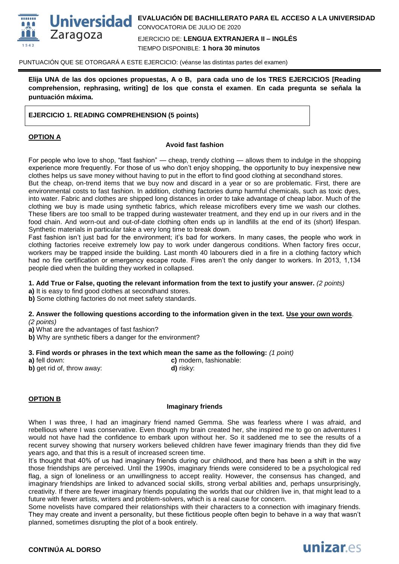

PUNTUACIÓN QUE SE OTORGARÁ A ESTE EJERCICIO: (véanse las distintas partes del examen)

**Elija UNA de las dos opciones propuestas, A o B, para cada uno de los TRES EJERCICIOS [Reading comprehension, rephrasing, writing] de los que consta el examen**. **En cada pregunta se señala la puntuación máxima.** 

## **EJERCICIO 1. READING COMPREHENSION (5 points)**

## **OPTION A**

#### **Avoid fast fashion**

For people who love to shop, "fast fashion" — cheap, trendy clothing — allows them to indulge in the shopping experience more frequently. For those of us who don't enjoy shopping, the opportunity to buy inexpensive new clothes helps us save money without having to put in the effort to find good clothing at secondhand stores.

But the cheap, on-trend items that we buy now and discard in a year or so are problematic. First, there are environmental costs to fast fashion. In addition, clothing factories dump harmful chemicals, such as toxic dyes, into water. Fabric and clothes are shipped long distances in order to take advantage of cheap labor. Much of the clothing we buy is made using synthetic fabrics, which release microfibers every time we wash our clothes. These fibers are too small to be trapped during wastewater treatment, and they end up in our rivers and in the food chain. And worn-out and out-of-date clothing often ends up in landfills at the end of its (short) lifespan. Synthetic materials in particular take a very long time to break down.

Fast fashion isn't just bad for the environment; it's bad for workers. In many cases, the people who work in clothing factories receive extremely low pay to work under dangerous conditions. When factory fires occur, workers may be trapped inside the building. Last month 40 labourers died in a fire in a clothing factory which had no fire certification or emergency escape route. Fires aren't the only danger to workers. In 2013, 1,134 people died when the building they worked in collapsed.

#### **1. Add True or False, quoting the relevant information from the text to justify your answer.** *(2 points)*

**a)** It is easy to find good clothes at secondhand stores.

**b)** Some clothing factories do not meet safety standards.

#### **2. Answer the following questions according to the information given in the text. Use your own words**. *(2 points)*

**a)** What are the advantages of fast fashion?

**b)** Why are synthetic fibers a danger for the environment?

#### **3. Find words or phrases in the text which mean the same as the following:** *(1 point)*

**a)** fell down: **c)** modern, fashionable:

**b)** get rid of, throw away: **d**) risky:

#### **OPTION B**

#### **Imaginary friends**

When I was three, I had an imaginary friend named Gemma. She was fearless where I was afraid, and rebellious where I was conservative. Even though my brain created her, she inspired me to go on adventures I would not have had the confidence to embark upon without her. So it saddened me to see the results of a recent survey showing that nursery workers believed children have fewer imaginary friends than they did five years ago, and that this is a result of increased screen time.

It's thought that 40% of us had imaginary friends during our childhood, and there has been a shift in the way those friendships are perceived. Until the 1990s, imaginary friends were considered to be a psychological red flag, a sign of loneliness or an unwillingness to accept reality. However, the consensus has changed, and imaginary friendships are linked to advanced social skills, strong verbal abilities and, perhaps unsurprisingly, creativity. If there are fewer imaginary friends populating the worlds that our children live in, that might lead to a future with fewer artists, writers and problem-solvers, which is a real cause for concern.

Some novelists have compared their relationships with their characters to a connection with imaginary friends. They may create and invent a personality, but these fictitious people often begin to behave in a way that wasn't planned, sometimes disrupting the plot of a book entirely.

### **CONTINÚA AL DORSO**

# unizar.es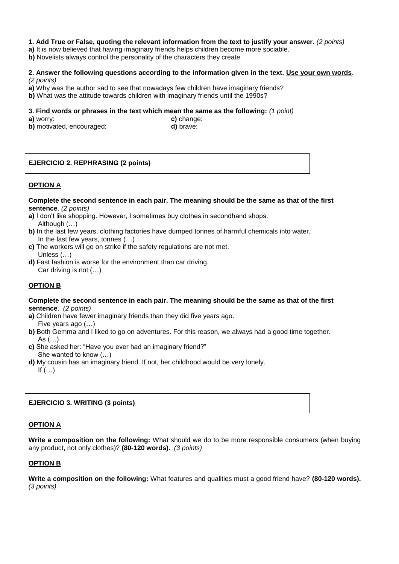## **1. Add True or False, quoting the relevant information from the text to justify your answer.** *(2 points)*

- **a)** It is now believed that having imaginary friends helps children become more sociable.
- **b)** Novelists always control the personality of the characters they create.

### **2. Answer the following questions according to the information given in the text. Use your own words**. *(2 points)*

- **a)** Why was the author sad to see that nowadays few children have imaginary friends?
- **b)** What was the attitude towards children with imaginary friends until the 1990s?

### **3. Find words or phrases in the text which mean the same as the following:** *(1 point)*

**b)** motivated, encouraged: **d)** brave:

**a)** worry: **c)** change:

# **EJERCICIO 2. REPHRASING (2 points)**

## **OPTION A**

**Complete the second sentence in each pair. The meaning should be the same as that of the first sentence**. *(2 points)*

- **a)** I don't like shopping. However, I sometimes buy clothes in secondhand shops. Although (…)
- **b)** In the last few years, clothing factories have dumped tonnes of harmful chemicals into water. In the last few years, tonnes (…)
- **c)** The workers will go on strike if the safety regulations are not met. Unless (…)
- **d)** Fast fashion is worse for the environment than car driving. Car driving is not (…)

## **OPTION B**

#### **Complete the second sentence in each pair. The meaning should be the same as that of the first sentence**. *(2 points)*

- **a)** Children have fewer imaginary friends than they did five years ago. Five years ago (…)
- **b)** Both Gemma and I liked to go on adventures. For this reason, we always had a good time together. As (…)
- **c)** She asked her: "Have you ever had an imaginary friend?" She wanted to know (…)
- **d)** My cousin has an imaginary friend. If not, her childhood would be very lonely. If  $(...)$

## **EJERCICIO 3. WRITING (3 points)**

#### **OPTION A**

**Write a composition on the following:** What should we do to be more responsible consumers (when buying any product, not only clothes)? **(80-120 words).** *(3 points)*

## **OPTION B**

**Write a composition on the following:** What features and qualities must a good friend have? **(80-120 words).**  *(3 points)*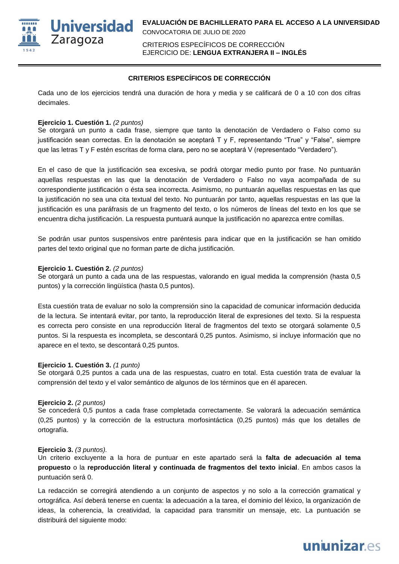

CRITERIOS ESPECÍFICOS DE CORRECCIÓN EJERCICIO DE: **LENGUA EXTRANJERA II – INGLÉS**

## **CRITERIOS ESPECÍFICOS DE CORRECCIÓN**

Cada uno de los ejercicios tendrá una duración de hora y media y se calificará de 0 a 10 con dos cifras decimales.

## **Ejercicio 1. Cuestión 1.** *(2 puntos)*

Se otorgará un punto a cada frase, siempre que tanto la denotación de Verdadero o Falso como su justificación sean correctas. En la denotación se aceptará T y F, representando "True" y "False", siempre que las letras T y F estén escritas de forma clara, pero no se aceptará V (representado "Verdadero").

En el caso de que la justificación sea excesiva, se podrá otorgar medio punto por frase. No puntuarán aquellas respuestas en las que la denotación de Verdadero o Falso no vaya acompañada de su correspondiente justificación o ésta sea incorrecta. Asimismo, no puntuarán aquellas respuestas en las que la justificación no sea una cita textual del texto. No puntuarán por tanto, aquellas respuestas en las que la justificación es una paráfrasis de un fragmento del texto, o los números de líneas del texto en los que se encuentra dicha justificación. La respuesta puntuará aunque la justificación no aparezca entre comillas.

Se podrán usar puntos suspensivos entre paréntesis para indicar que en la justificación se han omitido partes del texto original que no forman parte de dicha justificación.

## **Ejercicio 1. Cuestión 2.** *(2 puntos)*

Se otorgará un punto a cada una de las respuestas, valorando en igual medida la comprensión (hasta 0,5 puntos) y la corrección lingüística (hasta 0,5 puntos).

Esta cuestión trata de evaluar no solo la comprensión sino la capacidad de comunicar información deducida de la lectura. Se intentará evitar, por tanto, la reproducción literal de expresiones del texto. Si la respuesta es correcta pero consiste en una reproducción literal de fragmentos del texto se otorgará solamente 0,5 puntos. Si la respuesta es incompleta, se descontará 0,25 puntos. Asimismo, si incluye información que no aparece en el texto, se descontará 0,25 puntos.

## **Ejercicio 1. Cuestión 3.** *(1 punto)*

Se otorgará 0,25 puntos a cada una de las respuestas, cuatro en total. Esta cuestión trata de evaluar la comprensión del texto y el valor semántico de algunos de los términos que en él aparecen.

## **Ejercicio 2.** *(2 puntos)*

Se concederá 0,5 puntos a cada frase completada correctamente. Se valorará la adecuación semántica (0,25 puntos) y la corrección de la estructura morfosintáctica (0,25 puntos) más que los detalles de ortografía.

#### **Ejercicio 3.** *(3 puntos).*

Un criterio excluyente a la hora de puntuar en este apartado será la **falta de adecuación al tema propuesto** o la **reproducción literal y continuada de fragmentos del texto inicial**. En ambos casos la puntuación será 0.

La redacción se corregirá atendiendo a un conjunto de aspectos y no solo a la corrección gramatical y ortográfica. Así deberá tenerse en cuenta: la adecuación a la tarea, el dominio del léxico, la organización de ideas, la coherencia, la creatividad, la capacidad para transmitir un mensaje, etc. La puntuación se distribuirá del siguiente modo: